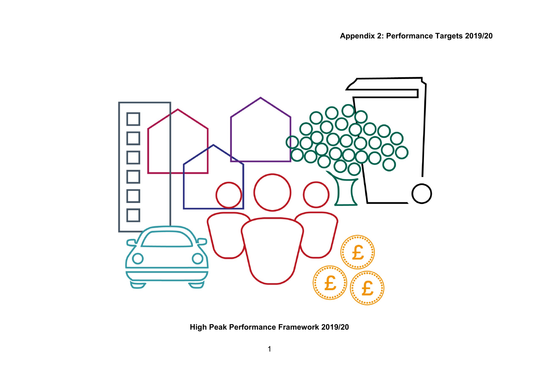

**High Peak Performance Framework 2019/20**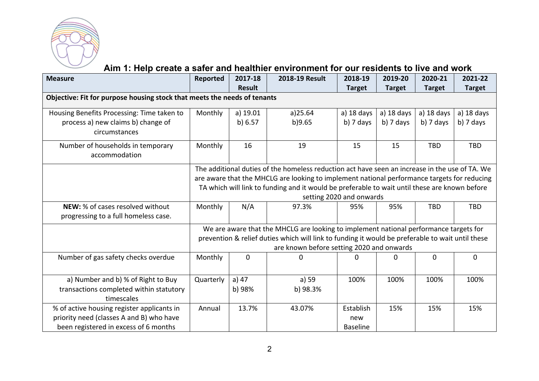

### **Aim 1: Help create a safer and healthier environment for our residents to live and work**

| <b>Measure</b>                                                           | Reported                                                                                      | 2017-18       | 2018-19 Result                                                                                   | 2018-19                  | 2019-20       | 2020-21       | 2021-22       |  |  |
|--------------------------------------------------------------------------|-----------------------------------------------------------------------------------------------|---------------|--------------------------------------------------------------------------------------------------|--------------------------|---------------|---------------|---------------|--|--|
|                                                                          |                                                                                               | <b>Result</b> |                                                                                                  | <b>Target</b>            | <b>Target</b> | <b>Target</b> | <b>Target</b> |  |  |
| Objective: Fit for purpose housing stock that meets the needs of tenants |                                                                                               |               |                                                                                                  |                          |               |               |               |  |  |
| Housing Benefits Processing: Time taken to                               | Monthly                                                                                       | a) 19.01      | a)25.64                                                                                          | a) $18$ days             | a) $18$ days  | a) $18$ days  | a) 18 days    |  |  |
| process a) new claims b) change of                                       |                                                                                               | b) 6.57       | b)9.65                                                                                           | $b)$ 7 days              | $b)$ 7 days   | b) $7$ days   | b) 7 days     |  |  |
| circumstances                                                            |                                                                                               |               |                                                                                                  |                          |               |               |               |  |  |
| Number of households in temporary                                        | Monthly                                                                                       | 16            | 19                                                                                               | 15                       | 15            | <b>TBD</b>    | <b>TBD</b>    |  |  |
| accommodation                                                            |                                                                                               |               |                                                                                                  |                          |               |               |               |  |  |
|                                                                          |                                                                                               |               | The additional duties of the homeless reduction act have seen an increase in the use of TA. We   |                          |               |               |               |  |  |
|                                                                          |                                                                                               |               | are aware that the MHCLG are looking to implement national performance targets for reducing      |                          |               |               |               |  |  |
|                                                                          | TA which will link to funding and it would be preferable to wait until these are known before |               |                                                                                                  |                          |               |               |               |  |  |
|                                                                          |                                                                                               |               |                                                                                                  | setting 2020 and onwards |               |               |               |  |  |
| NEW: % of cases resolved without                                         | Monthly                                                                                       | N/A           | 97.3%                                                                                            | 95%                      | 95%           | <b>TBD</b>    | <b>TBD</b>    |  |  |
| progressing to a full homeless case.                                     |                                                                                               |               |                                                                                                  |                          |               |               |               |  |  |
|                                                                          |                                                                                               |               | We are aware that the MHCLG are looking to implement national performance targets for            |                          |               |               |               |  |  |
|                                                                          |                                                                                               |               | prevention & relief duties which will link to funding it would be preferable to wait until these |                          |               |               |               |  |  |
|                                                                          |                                                                                               |               | are known before setting 2020 and onwards                                                        |                          |               |               |               |  |  |
| Number of gas safety checks overdue                                      | Monthly                                                                                       | $\mathbf 0$   | 0                                                                                                | 0                        | 0             | $\mathbf 0$   | 0             |  |  |
|                                                                          |                                                                                               |               |                                                                                                  |                          |               |               |               |  |  |
| a) Number and b) % of Right to Buy                                       | Quarterly                                                                                     | a) 47         | a) 59                                                                                            | 100%                     | 100%          | 100%          | 100%          |  |  |
| transactions completed within statutory                                  |                                                                                               | b) 98%        | b) 98.3%                                                                                         |                          |               |               |               |  |  |
| timescales                                                               |                                                                                               |               |                                                                                                  |                          |               |               |               |  |  |
| % of active housing register applicants in                               | Annual                                                                                        | 13.7%         | 43.07%                                                                                           | Establish                | 15%           | 15%           | 15%           |  |  |
| priority need (classes A and B) who have                                 |                                                                                               |               |                                                                                                  | new                      |               |               |               |  |  |
| been registered in excess of 6 months                                    |                                                                                               |               |                                                                                                  | <b>Baseline</b>          |               |               |               |  |  |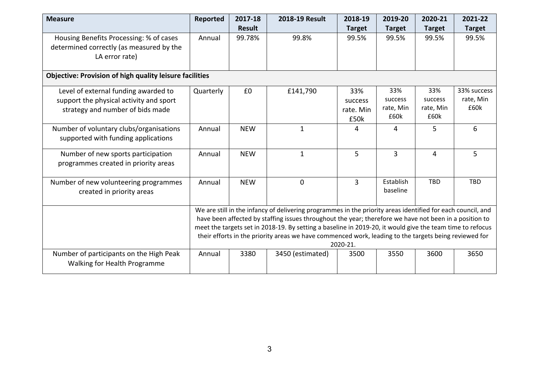| <b>Measure</b>                                                                                        | Reported                                                                                                          | 2017-18       | 2018-19 Result                                                                                              | 2018-19        | 2019-20           | 2020-21           | 2021-22       |  |
|-------------------------------------------------------------------------------------------------------|-------------------------------------------------------------------------------------------------------------------|---------------|-------------------------------------------------------------------------------------------------------------|----------------|-------------------|-------------------|---------------|--|
|                                                                                                       |                                                                                                                   | <b>Result</b> |                                                                                                             | <b>Target</b>  | <b>Target</b>     | <b>Target</b>     | <b>Target</b> |  |
| Housing Benefits Processing: % of cases<br>determined correctly (as measured by the<br>LA error rate) | Annual                                                                                                            | 99.78%        | 99.8%                                                                                                       | 99.5%          | 99.5%             | 99.5%             | 99.5%         |  |
| <b>Objective: Provision of high quality leisure facilities</b>                                        |                                                                                                                   |               |                                                                                                             |                |                   |                   |               |  |
| Level of external funding awarded to                                                                  | Quarterly                                                                                                         | £0            | £141,790                                                                                                    | 33%            | 33%               | 33%               | 33% success   |  |
| support the physical activity and sport                                                               |                                                                                                                   |               |                                                                                                             | success        | success           | success           | rate, Min     |  |
| strategy and number of bids made                                                                      |                                                                                                                   |               |                                                                                                             | rate. Min      | rate, Min<br>£60k | rate, Min<br>£60k | £60k          |  |
|                                                                                                       |                                                                                                                   |               |                                                                                                             | £50k           |                   |                   |               |  |
| Number of voluntary clubs/organisations                                                               | Annual                                                                                                            | <b>NEW</b>    | $\mathbf{1}$                                                                                                | 4              | 4                 | 5                 | 6             |  |
| supported with funding applications                                                                   |                                                                                                                   |               |                                                                                                             |                |                   |                   |               |  |
| Number of new sports participation                                                                    | Annual                                                                                                            | <b>NEW</b>    | $\mathbf{1}$                                                                                                | 5              | $\overline{3}$    | $\overline{4}$    | 5             |  |
| programmes created in priority areas                                                                  |                                                                                                                   |               |                                                                                                             |                |                   |                   |               |  |
| Number of new volunteering programmes                                                                 | Annual                                                                                                            | <b>NEW</b>    | $\Omega$                                                                                                    | $\overline{3}$ | Establish         | <b>TBD</b>        | <b>TBD</b>    |  |
| created in priority areas                                                                             |                                                                                                                   |               |                                                                                                             |                | baseline          |                   |               |  |
|                                                                                                       |                                                                                                                   |               | We are still in the infancy of delivering programmes in the priority areas identified for each council, and |                |                   |                   |               |  |
|                                                                                                       |                                                                                                                   |               | have been affected by staffing issues throughout the year; therefore we have not been in a position to      |                |                   |                   |               |  |
|                                                                                                       |                                                                                                                   |               | meet the targets set in 2018-19. By setting a baseline in 2019-20, it would give the team time to refocus   |                |                   |                   |               |  |
|                                                                                                       | their efforts in the priority areas we have commenced work, leading to the targets being reviewed for<br>2020-21. |               |                                                                                                             |                |                   |                   |               |  |
| Number of participants on the High Peak                                                               | Annual                                                                                                            | 3380          | 3450 (estimated)                                                                                            | 3500           | 3550              | 3600              | 3650          |  |
| Walking for Health Programme                                                                          |                                                                                                                   |               |                                                                                                             |                |                   |                   |               |  |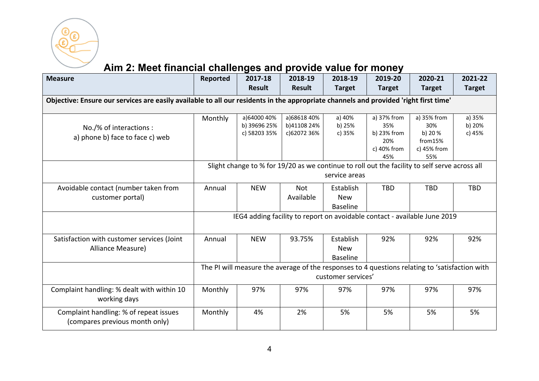

# **Aim 2: Meet financial challenges and provide value for money**

| <b>Measure</b>                                                                                                                       | <b>Reported</b> | 2017-18                                                                                        | 2018-19                    | 2018-19            | 2019-20            | 2020-21        | 2021-22          |  |  |  |
|--------------------------------------------------------------------------------------------------------------------------------------|-----------------|------------------------------------------------------------------------------------------------|----------------------------|--------------------|--------------------|----------------|------------------|--|--|--|
|                                                                                                                                      |                 | <b>Result</b>                                                                                  | <b>Result</b>              | <b>Target</b>      | <b>Target</b>      | <b>Target</b>  | <b>Target</b>    |  |  |  |
| Objective: Ensure our services are easily available to all our residents in the appropriate channels and provided 'right first time' |                 |                                                                                                |                            |                    |                    |                |                  |  |  |  |
|                                                                                                                                      |                 |                                                                                                |                            |                    |                    |                |                  |  |  |  |
|                                                                                                                                      | Monthly         | a)64000 40%                                                                                    | a)68618 40%                | a) 40%             | a) 37% from        | a) 35% from    | a) 35%           |  |  |  |
| No./% of interactions :                                                                                                              |                 | b) 39696 25%<br>c) 58203 35%                                                                   | b)41108 24%<br>c)62072 36% | b) 25%<br>c) 35%   | 35%<br>b) 23% from | 30%<br>b) 20 % | b) 20%<br>c) 45% |  |  |  |
| a) phone b) face to face c) web                                                                                                      |                 |                                                                                                |                            |                    | 20%                | from15%        |                  |  |  |  |
|                                                                                                                                      |                 |                                                                                                |                            |                    | c) 40% from        | c) 45% from    |                  |  |  |  |
|                                                                                                                                      |                 |                                                                                                |                            |                    | 45%                | 55%            |                  |  |  |  |
|                                                                                                                                      |                 | Slight change to % for 19/20 as we continue to roll out the facility to self serve across all  |                            |                    |                    |                |                  |  |  |  |
|                                                                                                                                      | service areas   |                                                                                                |                            |                    |                    |                |                  |  |  |  |
| Avoidable contact (number taken from                                                                                                 | Annual          | <b>NEW</b>                                                                                     | <b>Not</b>                 | Establish          | <b>TBD</b>         | <b>TBD</b>     | <b>TBD</b>       |  |  |  |
| customer portal)                                                                                                                     |                 |                                                                                                | Available                  | <b>New</b>         |                    |                |                  |  |  |  |
|                                                                                                                                      |                 |                                                                                                |                            | <b>Baseline</b>    |                    |                |                  |  |  |  |
|                                                                                                                                      |                 | IEG4 adding facility to report on avoidable contact - available June 2019                      |                            |                    |                    |                |                  |  |  |  |
|                                                                                                                                      |                 |                                                                                                |                            |                    |                    |                |                  |  |  |  |
| Satisfaction with customer services (Joint                                                                                           | Annual          | <b>NEW</b>                                                                                     | 93.75%                     | Establish          | 92%                | 92%            | 92%              |  |  |  |
| Alliance Measure)                                                                                                                    |                 |                                                                                                |                            | <b>New</b>         |                    |                |                  |  |  |  |
|                                                                                                                                      |                 |                                                                                                |                            | <b>Baseline</b>    |                    |                |                  |  |  |  |
|                                                                                                                                      |                 | The PI will measure the average of the responses to 4 questions relating to 'satisfaction with |                            |                    |                    |                |                  |  |  |  |
|                                                                                                                                      |                 |                                                                                                |                            | customer services' |                    |                |                  |  |  |  |
| Complaint handling: % dealt with within 10                                                                                           | Monthly         | 97%                                                                                            | 97%                        | 97%                | 97%                | 97%            | 97%              |  |  |  |
| working days                                                                                                                         |                 |                                                                                                |                            |                    |                    |                |                  |  |  |  |
| Complaint handling: % of repeat issues                                                                                               | Monthly         | 4%                                                                                             | 2%                         | 5%                 | 5%                 | 5%             | 5%               |  |  |  |
| (compares previous month only)                                                                                                       |                 |                                                                                                |                            |                    |                    |                |                  |  |  |  |
|                                                                                                                                      |                 |                                                                                                |                            |                    |                    |                |                  |  |  |  |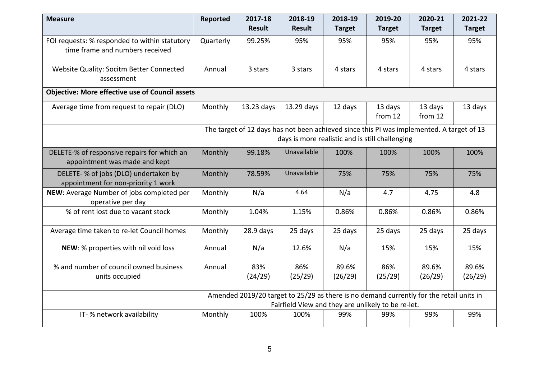| <b>Measure</b>                                                                   | <b>Reported</b> | 2017-18<br><b>Result</b> | 2018-19<br><b>Result</b>                                                                                                                      | 2018-19<br><b>Target</b> | 2019-20<br><b>Target</b> | 2020-21<br><b>Target</b> | 2021-22<br><b>Target</b> |
|----------------------------------------------------------------------------------|-----------------|--------------------------|-----------------------------------------------------------------------------------------------------------------------------------------------|--------------------------|--------------------------|--------------------------|--------------------------|
| FOI requests: % responded to within statutory<br>time frame and numbers received | Quarterly       | 99.25%                   | 95%                                                                                                                                           | 95%                      | 95%                      | 95%                      | 95%                      |
| Website Quality: Socitm Better Connected<br>assessment                           | Annual          | 3 stars                  | 3 stars                                                                                                                                       | 4 stars                  | 4 stars                  | 4 stars                  | 4 stars                  |
| <b>Objective: More effective use of Council assets</b>                           |                 |                          |                                                                                                                                               |                          |                          |                          |                          |
| Average time from request to repair (DLO)                                        | Monthly         | 13.23 days               | 13.29 days                                                                                                                                    | 12 days                  | 13 days<br>from 12       | 13 days<br>from 12       | 13 days                  |
|                                                                                  |                 |                          | The target of 12 days has not been achieved since this PI was implemented. A target of 13<br>days is more realistic and is still challenging  |                          |                          |                          |                          |
| DELETE-% of responsive repairs for which an<br>appointment was made and kept     | Monthly         | 99.18%                   | Unavailable                                                                                                                                   | 100%                     | 100%                     | 100%                     | 100%                     |
| DELETE- % of jobs (DLO) undertaken by<br>appointment for non-priority 1 work     | Monthly         | 78.59%                   | Unavailable                                                                                                                                   | 75%                      | 75%                      | 75%                      | 75%                      |
| NEW: Average Number of jobs completed per<br>operative per day                   | Monthly         | N/a                      | 4.64                                                                                                                                          | N/a                      | 4.7                      | 4.75                     | 4.8                      |
| % of rent lost due to vacant stock                                               | Monthly         | 1.04%                    | 1.15%                                                                                                                                         | 0.86%                    | 0.86%                    | 0.86%                    | 0.86%                    |
| Average time taken to re-let Council homes                                       | Monthly         | $28.9$ days              | 25 days                                                                                                                                       | 25 days                  | 25 days                  | 25 days                  | 25 days                  |
| NEW: % properties with nil void loss                                             | Annual          | N/a                      | 12.6%                                                                                                                                         | N/a                      | 15%                      | 15%                      | 15%                      |
| % and number of council owned business<br>units occupied                         | Annual          | 83%<br>(24/29)           | 86%<br>(25/29)                                                                                                                                | 89.6%<br>(26/29)         | 86%<br>(25/29)           | 89.6%<br>(26/29)         | 89.6%<br>(26/29)         |
|                                                                                  |                 |                          | Amended 2019/20 target to 25/29 as there is no demand currently for the retail units in<br>Fairfield View and they are unlikely to be re-let. |                          |                          |                          |                          |
| IT- % network availability                                                       | Monthly         | 100%                     | 100%                                                                                                                                          | 99%                      | 99%                      | 99%                      | 99%                      |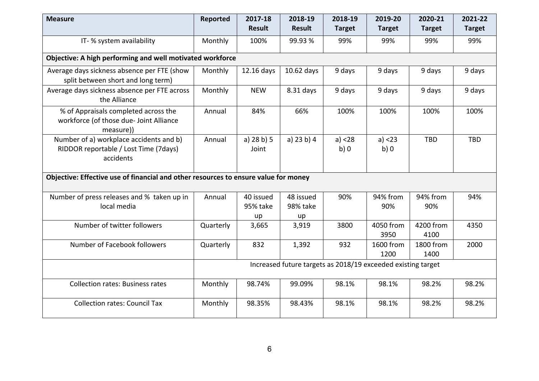| <b>Measure</b>                                                                                | <b>Reported</b> | 2017-18                     | 2018-19                                                      | 2018-19        | 2019-20           | 2020-21           | 2021-22       |
|-----------------------------------------------------------------------------------------------|-----------------|-----------------------------|--------------------------------------------------------------|----------------|-------------------|-------------------|---------------|
|                                                                                               |                 | <b>Result</b>               | <b>Result</b>                                                | <b>Target</b>  | <b>Target</b>     | <b>Target</b>     | <b>Target</b> |
| IT- % system availability                                                                     | Monthly         | 100%                        | 99.93 %                                                      | 99%            | 99%               | 99%               | 99%           |
| Objective: A high performing and well motivated workforce                                     |                 |                             |                                                              |                |                   |                   |               |
| Average days sickness absence per FTE (show<br>split between short and long term)             | Monthly         | 12.16 days                  | 10.62 days                                                   | 9 days         | 9 days            | 9 days            | 9 days        |
| Average days sickness absence per FTE across<br>the Alliance                                  | Monthly         | <b>NEW</b>                  | 8.31 days                                                    | 9 days         | 9 days            | 9 days            | 9 days        |
| % of Appraisals completed across the<br>workforce (of those due- Joint Alliance<br>measure))  | Annual          | 84%                         | 66%                                                          | 100%           | 100%              | 100%              | 100%          |
| Number of a) workplace accidents and b)<br>RIDDOR reportable / Lost Time (7days)<br>accidents | Annual          | a) 28 b) 5<br>Joint         | a) $23 b) 4$                                                 | a) < 28<br>b)0 | a) < 23<br>b)0    | <b>TBD</b>        | <b>TBD</b>    |
| Objective: Effective use of financial and other resources to ensure value for money           |                 |                             |                                                              |                |                   |                   |               |
| Number of press releases and % taken up in<br>local media                                     | Annual          | 40 issued<br>95% take<br>up | 48 issued<br>98% take<br>up                                  | 90%            | 94% from<br>90%   | 94% from<br>90%   | 94%           |
| Number of twitter followers                                                                   | Quarterly       | 3,665                       | 3,919                                                        | 3800           | 4050 from<br>3950 | 4200 from<br>4100 | 4350          |
| Number of Facebook followers                                                                  | Quarterly       | 832                         | 1,392                                                        | 932            | 1600 from<br>1200 | 1800 from<br>1400 | 2000          |
|                                                                                               |                 |                             | Increased future targets as 2018/19 exceeded existing target |                |                   |                   |               |
| <b>Collection rates: Business rates</b>                                                       | Monthly         | 98.74%                      | 99.09%                                                       | 98.1%          | 98.1%             | 98.2%             | 98.2%         |
| <b>Collection rates: Council Tax</b>                                                          | Monthly         | 98.35%                      | 98.43%                                                       | 98.1%          | 98.1%             | 98.2%             | 98.2%         |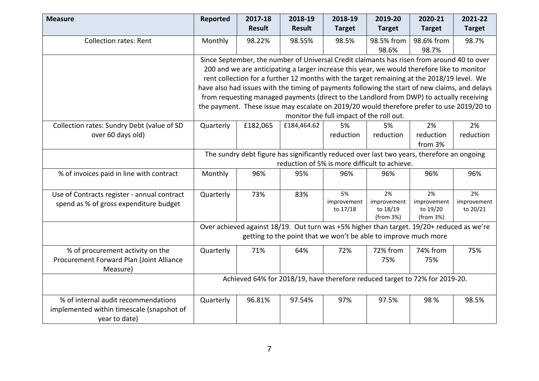| <b>Measure</b>                                                                                    | Reported                                                                                                                                                                                                                                                                                                                                                                                                                                                                                                                                                                                                                                                                                                                                                      | 2017-18<br><b>Result</b> | 2018-19<br><b>Result</b> | 2018-19<br><b>Target</b>                                                                                                                                     | 2019-20<br><b>Target</b>                   | 2020-21<br><b>Target</b>                   | 2021-22<br><b>Target</b>      |  |
|---------------------------------------------------------------------------------------------------|---------------------------------------------------------------------------------------------------------------------------------------------------------------------------------------------------------------------------------------------------------------------------------------------------------------------------------------------------------------------------------------------------------------------------------------------------------------------------------------------------------------------------------------------------------------------------------------------------------------------------------------------------------------------------------------------------------------------------------------------------------------|--------------------------|--------------------------|--------------------------------------------------------------------------------------------------------------------------------------------------------------|--------------------------------------------|--------------------------------------------|-------------------------------|--|
| <b>Collection rates: Rent</b>                                                                     | Monthly                                                                                                                                                                                                                                                                                                                                                                                                                                                                                                                                                                                                                                                                                                                                                       | 98.22%                   | 98.55%                   | 98.5%                                                                                                                                                        | 98.5% from<br>98.6%                        | 98.6% from<br>98.7%                        | 98.7%                         |  |
| Collection rates: Sundry Debt (value of SD<br>over 60 days old)                                   | Since September, the number of Universal Credit claimants has risen from around 40 to over<br>200 and we are anticipating a larger increase this year, we would therefore like to monitor<br>rent collection for a further 12 months with the target remaining at the 2018/19 level. We<br>have also had issues with the timing of payments following the start of new claims, and delays<br>from requesting managed payments (direct to the Landlord from DWP) to actually receiving<br>the payment. These issue may escalate on 2019/20 would therefore prefer to use 2019/20 to<br>monitor the full impact of the roll out.<br>Quarterly<br>£182,065<br>£184,464.62<br>5%<br>2%<br>5%<br>2%<br>reduction<br>reduction<br>reduction<br>reduction<br>from 3% |                          |                          |                                                                                                                                                              |                                            |                                            |                               |  |
| % of invoices paid in line with contract                                                          | The sundry debt figure has significantly reduced over last two years, therefore an ongoing<br>reduction of 5% is more difficult to achieve.<br>Monthly<br>96%<br>96%<br>95%<br>96%<br>96%<br>96%                                                                                                                                                                                                                                                                                                                                                                                                                                                                                                                                                              |                          |                          |                                                                                                                                                              |                                            |                                            |                               |  |
| Use of Contracts register - annual contract<br>spend as % of gross expenditure budget             | Quarterly                                                                                                                                                                                                                                                                                                                                                                                                                                                                                                                                                                                                                                                                                                                                                     | 73%                      | 83%                      | 5%<br>improvement<br>to 17/18                                                                                                                                | 2%<br>improvement<br>to 18/19<br>(from 3%) | 2%<br>improvement<br>to 19/20<br>(from 3%) | 2%<br>improvement<br>to 20/21 |  |
|                                                                                                   |                                                                                                                                                                                                                                                                                                                                                                                                                                                                                                                                                                                                                                                                                                                                                               |                          |                          | Over achieved against 18/19. Out turn was +5% higher than target. 19/20+ reduced as we're<br>getting to the point that we won't be able to improve much more |                                            |                                            |                               |  |
| % of procurement activity on the<br>Procurement Forward Plan (Joint Alliance<br>Measure)          | Quarterly                                                                                                                                                                                                                                                                                                                                                                                                                                                                                                                                                                                                                                                                                                                                                     | 71%                      | 64%                      | 72%                                                                                                                                                          | 72% from<br>75%                            | 74% from<br>75%                            | 75%                           |  |
|                                                                                                   |                                                                                                                                                                                                                                                                                                                                                                                                                                                                                                                                                                                                                                                                                                                                                               |                          |                          | Achieved 64% for 2018/19, have therefore reduced target to 72% for 2019-20.                                                                                  |                                            |                                            |                               |  |
| % of internal audit recommendations<br>implemented within timescale (snapshot of<br>year to date) | Quarterly                                                                                                                                                                                                                                                                                                                                                                                                                                                                                                                                                                                                                                                                                                                                                     | 96.81%                   | 97.54%                   | 97%                                                                                                                                                          | 97.5%                                      | 98 %                                       | 98.5%                         |  |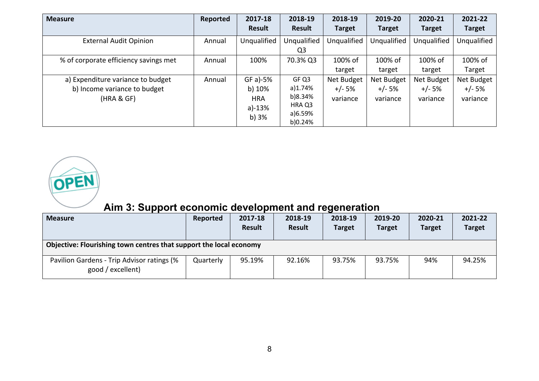| <b>Measure</b>                                                                  | Reported | 2017-18                                               | 2018-19                                                     | 2018-19                            | 2019-20                            | 2020-21                            | 2021-22                            |
|---------------------------------------------------------------------------------|----------|-------------------------------------------------------|-------------------------------------------------------------|------------------------------------|------------------------------------|------------------------------------|------------------------------------|
|                                                                                 |          | <b>Result</b>                                         | <b>Result</b>                                               | <b>Target</b>                      | <b>Target</b>                      | <b>Target</b>                      | <b>Target</b>                      |
| <b>External Audit Opinion</b>                                                   | Annual   | Unqualified                                           | Unqualified<br>Q <sub>3</sub>                               | Unqualified                        | Unqualified                        | Unqualified                        | Unqualified                        |
| % of corporate efficiency savings met                                           | Annual   | 100%                                                  | 70.3% Q3                                                    | 100% of<br>target                  | 100% of<br>target                  | 100% of<br>target                  | 100% of<br>Target                  |
| a) Expenditure variance to budget<br>b) Income variance to budget<br>(HRA & GF) | Annual   | $GF a)-5%$<br>b) 10%<br><b>HRA</b><br>a)-13%<br>b) 3% | GF Q3<br>a)1.74%<br>b)8.34%<br>HRA Q3<br>a)6.59%<br>b)0.24% | Net Budget<br>$+/- 5%$<br>variance | Net Budget<br>$+/- 5%$<br>variance | Net Budget<br>$+/- 5%$<br>variance | Net Budget<br>$+/- 5%$<br>variance |



# **Aim 3: Support economic development and regeneration**

| <b>Measure</b>                                                     | Reported  | 2017-18<br><b>Result</b> | 2018-19<br><b>Result</b> | 2018-19<br><b>Target</b> | 2019-20<br><b>Target</b> | 2020-21<br><b>Target</b> | 2021-22<br><b>Target</b> |  |  |  |
|--------------------------------------------------------------------|-----------|--------------------------|--------------------------|--------------------------|--------------------------|--------------------------|--------------------------|--|--|--|
| Objective: Flourishing town centres that support the local economy |           |                          |                          |                          |                          |                          |                          |  |  |  |
| Pavilion Gardens - Trip Advisor ratings (%<br>good / excellent)    | Quarterly | 95.19%                   | 92.16%                   | 93.75%                   | 93.75%                   | 94%                      | 94.25%                   |  |  |  |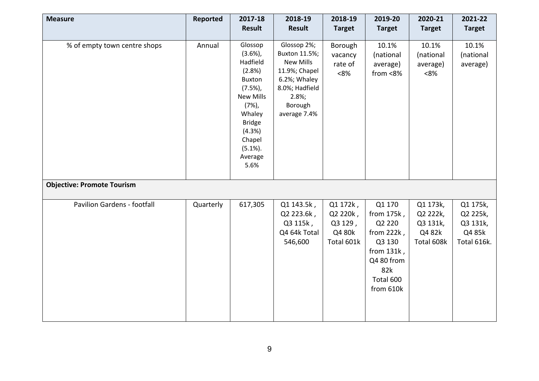| <b>Measure</b>                     | Reported  | 2017-18<br><b>Result</b>                                                                                                                                                              | 2018-19<br><b>Result</b>                                                                                                                | 2018-19<br><b>Target</b>                                | 2019-20<br><b>Target</b>                                                                                                     | 2020-21<br><b>Target</b>                                 | 2021-22<br><b>Target</b>                                  |
|------------------------------------|-----------|---------------------------------------------------------------------------------------------------------------------------------------------------------------------------------------|-----------------------------------------------------------------------------------------------------------------------------------------|---------------------------------------------------------|------------------------------------------------------------------------------------------------------------------------------|----------------------------------------------------------|-----------------------------------------------------------|
| % of empty town centre shops       | Annual    | Glossop<br>$(3.6\%)$<br>Hadfield<br>(2.8%)<br><b>Buxton</b><br>(7.5%)<br><b>New Mills</b><br>$(7%)$ ,<br>Whaley<br><b>Bridge</b><br>(4.3%)<br>Chapel<br>$(5.1\%).$<br>Average<br>5.6% | Glossop 2%;<br>Buxton 11.5%;<br><b>New Mills</b><br>11.9%; Chapel<br>6.2%; Whaley<br>8.0%; Hadfield<br>2.8%;<br>Borough<br>average 7.4% | Borough<br>vacancy<br>rate of<br>$<8\%$                 | 10.1%<br>(national<br>average)<br>from <8%                                                                                   | 10.1%<br>(national<br>average)<br>< 8%                   | 10.1%<br>(national<br>average)                            |
| <b>Objective: Promote Tourism</b>  |           |                                                                                                                                                                                       |                                                                                                                                         |                                                         |                                                                                                                              |                                                          |                                                           |
| <b>Pavilion Gardens - footfall</b> | Quarterly | 617,305                                                                                                                                                                               | Q1 143.5k,<br>Q2 223.6k,<br>Q3 115k,<br>Q4 64k Total<br>546,600                                                                         | Q1 172k,<br>Q2 220k,<br>Q3 129,<br>Q4 80k<br>Total 601k | Q1 170<br>from $175k$ ,<br>Q2 220<br>from $222k$ ,<br>Q3 130<br>from $131k$ ,<br>Q4 80 from<br>82k<br>Total 600<br>from 610k | Q1 173k,<br>Q2 222k,<br>Q3 131k,<br>Q4 82k<br>Total 608k | Q1 175k,<br>Q2 225k,<br>Q3 131k,<br>Q4 85k<br>Total 616k. |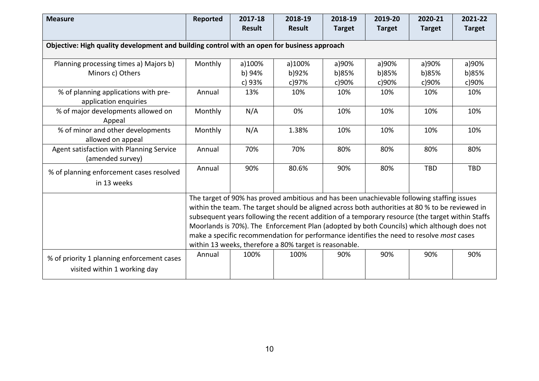| <b>Measure</b>                                                                              | Reported                                                                                                                                                                                                                                                                                                                                                                                                                                                                                                                                              | 2017-18<br><b>Result</b>   | 2018-19<br><b>Result</b> | 2018-19<br><b>Target</b> | 2019-20<br><b>Target</b> | 2020-21<br><b>Target</b> | 2021-22<br><b>Target</b> |  |
|---------------------------------------------------------------------------------------------|-------------------------------------------------------------------------------------------------------------------------------------------------------------------------------------------------------------------------------------------------------------------------------------------------------------------------------------------------------------------------------------------------------------------------------------------------------------------------------------------------------------------------------------------------------|----------------------------|--------------------------|--------------------------|--------------------------|--------------------------|--------------------------|--|
| Objective: High quality development and building control with an open for business approach |                                                                                                                                                                                                                                                                                                                                                                                                                                                                                                                                                       |                            |                          |                          |                          |                          |                          |  |
| Planning processing times a) Majors b)<br>Minors c) Others                                  | Monthly                                                                                                                                                                                                                                                                                                                                                                                                                                                                                                                                               | a)100%<br>b) 94%<br>c) 93% | a)100%<br>b)92%<br>c)97% | a)90%<br>b)85%<br>c)90%  | a)90%<br>b)85%<br>c)90%  | a)90%<br>b)85%<br>c)90%  | a)90%<br>b)85%<br>c)90%  |  |
| % of planning applications with pre-<br>application enquiries                               | Annual                                                                                                                                                                                                                                                                                                                                                                                                                                                                                                                                                | 13%                        | 10%                      | 10%                      | 10%                      | 10%                      | 10%                      |  |
| % of major developments allowed on<br>Appeal                                                | Monthly                                                                                                                                                                                                                                                                                                                                                                                                                                                                                                                                               | N/A                        | 0%                       | 10%                      | 10%                      | 10%                      | 10%                      |  |
| % of minor and other developments<br>allowed on appeal                                      | Monthly                                                                                                                                                                                                                                                                                                                                                                                                                                                                                                                                               | N/A                        | 1.38%                    | 10%                      | 10%                      | 10%                      | 10%                      |  |
| Agent satisfaction with Planning Service<br>(amended survey)                                | Annual                                                                                                                                                                                                                                                                                                                                                                                                                                                                                                                                                | 70%                        | 70%                      | 80%                      | 80%                      | 80%                      | 80%                      |  |
| % of planning enforcement cases resolved<br>in 13 weeks                                     | Annual                                                                                                                                                                                                                                                                                                                                                                                                                                                                                                                                                | 90%                        | 80.6%                    | 90%                      | 80%                      | <b>TBD</b>               | <b>TBD</b>               |  |
|                                                                                             | The target of 90% has proved ambitious and has been unachievable following staffing issues<br>within the team. The target should be aligned across both authorities at 80 % to be reviewed in<br>subsequent years following the recent addition of a temporary resource (the target within Staffs<br>Moorlands is 70%). The Enforcement Plan (adopted by both Councils) which although does not<br>make a specific recommendation for performance identifies the need to resolve most cases<br>within 13 weeks, therefore a 80% target is reasonable. |                            |                          |                          |                          |                          |                          |  |
| % of priority 1 planning enforcement cases<br>visited within 1 working day                  | Annual                                                                                                                                                                                                                                                                                                                                                                                                                                                                                                                                                | 100%                       | 100%                     | 90%                      | 90%                      | 90%                      | 90%                      |  |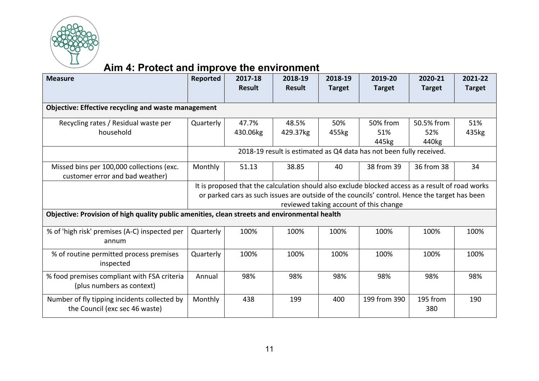

# **Aim 4: Protect and improve the environment**

| <b>Measure</b>                                                                                | Reported                                                                                                                                                                                          | 2017-18<br><b>Result</b> | 2018-19<br><b>Result</b> | 2018-19<br><b>Target</b> | 2019-20<br><b>Target</b>                                            | 2020-21<br><b>Target</b> | 2021-22<br><b>Target</b> |  |  |  |  |
|-----------------------------------------------------------------------------------------------|---------------------------------------------------------------------------------------------------------------------------------------------------------------------------------------------------|--------------------------|--------------------------|--------------------------|---------------------------------------------------------------------|--------------------------|--------------------------|--|--|--|--|
|                                                                                               |                                                                                                                                                                                                   |                          |                          |                          |                                                                     |                          |                          |  |  |  |  |
| <b>Objective: Effective recycling and waste management</b>                                    |                                                                                                                                                                                                   |                          |                          |                          |                                                                     |                          |                          |  |  |  |  |
| Recycling rates / Residual waste per<br>household                                             | Quarterly                                                                                                                                                                                         | 47.7%                    | 48.5%                    | 50%                      | 50% from<br>51%                                                     | 50.5% from<br>52%        | 51%                      |  |  |  |  |
|                                                                                               |                                                                                                                                                                                                   | 430.06kg                 | 429.37kg                 | 455kg                    | 445kg                                                               | 440kg                    | 435kg                    |  |  |  |  |
|                                                                                               |                                                                                                                                                                                                   |                          |                          |                          | 2018-19 result is estimated as Q4 data has not been fully received. |                          |                          |  |  |  |  |
| Missed bins per 100,000 collections (exc.<br>customer error and bad weather)                  | Monthly                                                                                                                                                                                           | 51.13                    | 38.85                    | 40                       | 38 from 39                                                          | 36 from 38               | 34                       |  |  |  |  |
|                                                                                               | It is proposed that the calculation should also exclude blocked access as a result of road works<br>or parked cars as such issues are outside of the councils' control. Hence the target has been |                          |                          |                          |                                                                     |                          |                          |  |  |  |  |
|                                                                                               |                                                                                                                                                                                                   |                          |                          |                          | reviewed taking account of this change                              |                          |                          |  |  |  |  |
| Objective: Provision of high quality public amenities, clean streets and environmental health |                                                                                                                                                                                                   |                          |                          |                          |                                                                     |                          |                          |  |  |  |  |
| % of 'high risk' premises (A-C) inspected per<br>annum                                        | Quarterly                                                                                                                                                                                         | 100%                     | 100%                     | 100%                     | 100%                                                                | 100%                     | 100%                     |  |  |  |  |
| % of routine permitted process premises<br>inspected                                          | Quarterly                                                                                                                                                                                         | 100%                     | 100%                     | 100%                     | 100%                                                                | 100%                     | 100%                     |  |  |  |  |
| % food premises compliant with FSA criteria<br>(plus numbers as context)                      | Annual                                                                                                                                                                                            | 98%                      | 98%                      | 98%                      | 98%                                                                 | 98%                      | 98%                      |  |  |  |  |
| Number of fly tipping incidents collected by<br>the Council (exc sec 46 waste)                | Monthly                                                                                                                                                                                           | 438                      | 199                      | 400                      | 199 from 390                                                        | 195 from<br>380          | 190                      |  |  |  |  |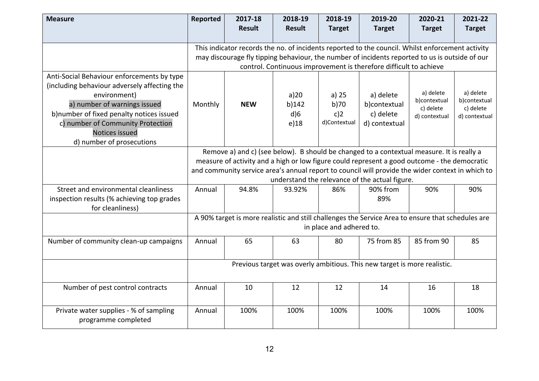| <b>Measure</b>                                                                                                                                                                                                                                | Reported                                                                                                                                                                                                                                                                                                                                        | 2017-18<br><b>Result</b> | 2018-19<br><b>Result</b>        | 2018-19<br><b>Target</b>               | 2019-20<br><b>Target</b>                                                                          | 2020-21<br><b>Target</b>                                | 2021-22<br><b>Target</b>                                |  |  |
|-----------------------------------------------------------------------------------------------------------------------------------------------------------------------------------------------------------------------------------------------|-------------------------------------------------------------------------------------------------------------------------------------------------------------------------------------------------------------------------------------------------------------------------------------------------------------------------------------------------|--------------------------|---------------------------------|----------------------------------------|---------------------------------------------------------------------------------------------------|---------------------------------------------------------|---------------------------------------------------------|--|--|
|                                                                                                                                                                                                                                               |                                                                                                                                                                                                                                                                                                                                                 |                          |                                 |                                        | This indicator records the no. of incidents reported to the council. Whilst enforcement activity  |                                                         |                                                         |  |  |
|                                                                                                                                                                                                                                               |                                                                                                                                                                                                                                                                                                                                                 |                          |                                 |                                        | may discourage fly tipping behaviour, the number of incidents reported to us is outside of our    |                                                         |                                                         |  |  |
|                                                                                                                                                                                                                                               |                                                                                                                                                                                                                                                                                                                                                 |                          |                                 |                                        | control. Continuous improvement is therefore difficult to achieve                                 |                                                         |                                                         |  |  |
| Anti-Social Behaviour enforcements by type<br>(including behaviour adversely affecting the<br>environment)<br>a) number of warnings issued<br>b)number of fixed penalty notices issued<br>c) number of Community Protection<br>Notices issued | Monthly                                                                                                                                                                                                                                                                                                                                         | <b>NEW</b>               | a)20<br>b)142<br>$d$ )6<br>e)18 | a) $25$<br>b)70<br>c)2<br>d)Contextual | a) delete<br>b)contextual<br>c) delete<br>d) contextual                                           | a) delete<br>b)contextual<br>c) delete<br>d) contextual | a) delete<br>b)contextual<br>c) delete<br>d) contextual |  |  |
| d) number of prosecutions                                                                                                                                                                                                                     |                                                                                                                                                                                                                                                                                                                                                 |                          |                                 |                                        |                                                                                                   |                                                         |                                                         |  |  |
|                                                                                                                                                                                                                                               | Remove a) and c) (see below). B should be changed to a contextual measure. It is really a<br>measure of activity and a high or low figure could represent a good outcome - the democratic<br>and community service area's annual report to council will provide the wider context in which to<br>understand the relevance of the actual figure. |                          |                                 |                                        |                                                                                                   |                                                         |                                                         |  |  |
| Street and environmental cleanliness<br>inspection results (% achieving top grades<br>for cleanliness)                                                                                                                                        | Annual                                                                                                                                                                                                                                                                                                                                          | 94.8%                    | 93.92%                          | 86%                                    | 90% from<br>89%                                                                                   | 90%                                                     | 90%                                                     |  |  |
|                                                                                                                                                                                                                                               |                                                                                                                                                                                                                                                                                                                                                 |                          |                                 | in place and adhered to.               | A 90% target is more realistic and still challenges the Service Area to ensure that schedules are |                                                         |                                                         |  |  |
| Number of community clean-up campaigns                                                                                                                                                                                                        | Annual                                                                                                                                                                                                                                                                                                                                          | 65                       | 63                              | 80                                     | 75 from 85                                                                                        | 85 from 90                                              | 85                                                      |  |  |
|                                                                                                                                                                                                                                               | Previous target was overly ambitious. This new target is more realistic.                                                                                                                                                                                                                                                                        |                          |                                 |                                        |                                                                                                   |                                                         |                                                         |  |  |
| Number of pest control contracts                                                                                                                                                                                                              | Annual                                                                                                                                                                                                                                                                                                                                          | 10                       | 12                              | 12                                     | 14                                                                                                | 16                                                      | 18                                                      |  |  |
| Private water supplies - % of sampling<br>programme completed                                                                                                                                                                                 | Annual                                                                                                                                                                                                                                                                                                                                          | 100%                     | 100%                            | 100%                                   | 100%                                                                                              | 100%                                                    | 100%                                                    |  |  |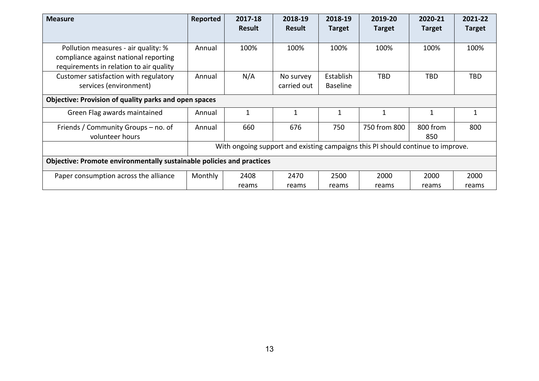| <b>Measure</b>                                                                                                          | Reported                                                                        | 2017-18<br><b>Result</b> | 2018-19<br><b>Result</b> | 2018-19<br><b>Target</b>     | 2019-20<br><b>Target</b> | 2020-21<br><b>Target</b> | 2021-22<br><b>Target</b> |
|-------------------------------------------------------------------------------------------------------------------------|---------------------------------------------------------------------------------|--------------------------|--------------------------|------------------------------|--------------------------|--------------------------|--------------------------|
| Pollution measures - air quality: %<br>compliance against national reporting<br>requirements in relation to air quality | Annual                                                                          | 100%                     | 100%                     | 100%                         | 100%                     | 100%                     | 100%                     |
| Customer satisfaction with regulatory<br>services (environment)                                                         | Annual                                                                          | N/A                      | No survey<br>carried out | Establish<br><b>Baseline</b> | <b>TBD</b>               | <b>TBD</b>               | <b>TBD</b>               |
| Objective: Provision of quality parks and open spaces                                                                   |                                                                                 |                          |                          |                              |                          |                          |                          |
| Green Flag awards maintained                                                                                            | Annual                                                                          | $\mathbf{1}$             | 1                        | 1                            | $\mathbf{1}$             | 1                        | $\mathbf{1}$             |
| Friends / Community Groups – no. of<br>volunteer hours                                                                  | Annual                                                                          | 660                      | 676                      | 750                          | 750 from 800             | 800 from<br>850          | 800                      |
|                                                                                                                         | With ongoing support and existing campaigns this PI should continue to improve. |                          |                          |                              |                          |                          |                          |
| Objective: Promote environmentally sustainable policies and practices                                                   |                                                                                 |                          |                          |                              |                          |                          |                          |
| Paper consumption across the alliance                                                                                   | Monthly                                                                         | 2408                     | 2470                     | 2500                         | 2000                     | 2000                     | 2000                     |
|                                                                                                                         |                                                                                 | reams                    | reams                    | reams                        | reams                    | reams                    | reams                    |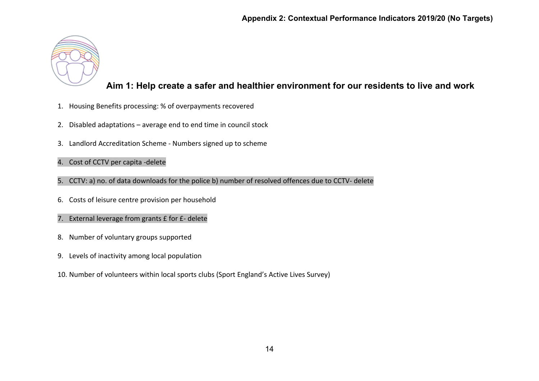

### **Aim 1: Help create a safer and healthier environment for our residents to live and work**

- 1. Housing Benefits processing: % of overpayments recovered
- 2. Disabled adaptations average end to end time in council stock
- 3. Landlord Accreditation Scheme Numbers signed up to scheme
- 4. Cost of CCTV per capita -delete
- 5. CCTV: a) no. of data downloads for the police b) number of resolved offences due to CCTV- delete
- 6. Costs of leisure centre provision per household
- 7. External leverage from grants £ for £- delete
- 8. Number of voluntary groups supported
- 9. Levels of inactivity among local population
- 10. Number of volunteers within local sports clubs (Sport England's Active Lives Survey)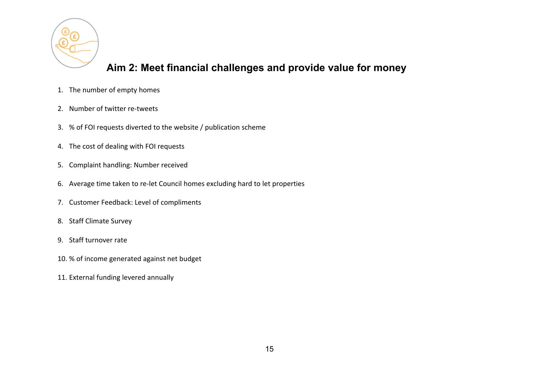

### **Aim 2: Meet financial challenges and provide value for money**

- 1. The number of empty homes
- 2. Number of twitter re-tweets
- 3. % of FOI requests diverted to the website / publication scheme
- 4. The cost of dealing with FOI requests
- 5. Complaint handling: Number received
- 6. Average time taken to re-let Council homes excluding hard to let properties
- 7. Customer Feedback: Level of compliments
- 8. Staff Climate Survey
- 9. Staff turnover rate
- 10. % of income generated against net budget
- 11. External funding levered annually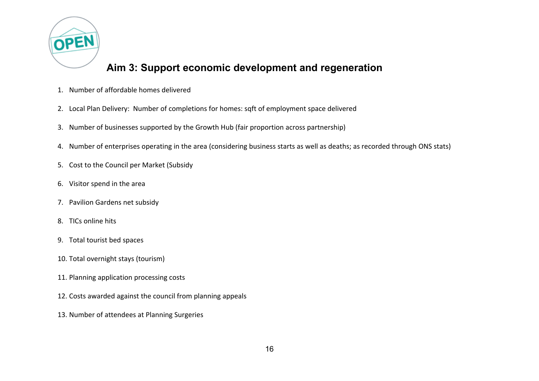

### **Aim 3: Support economic development and regeneration**

- 1. Number of affordable homes delivered
- 2. Local Plan Delivery: Number of completions for homes: sqft of employment space delivered
- 3. Number of businesses supported by the Growth Hub (fair proportion across partnership)
- 4. Number of enterprises operating in the area (considering business starts as well as deaths; as recorded through ONS stats)
- 5. Cost to the Council per Market (Subsidy
- 6. Visitor spend in the area
- 7. Pavilion Gardens net subsidy
- 8. TICs online hits
- 9. Total tourist bed spaces
- 10. Total overnight stays (tourism)
- 11. Planning application processing costs
- 12. Costs awarded against the council from planning appeals
- 13. Number of attendees at Planning Surgeries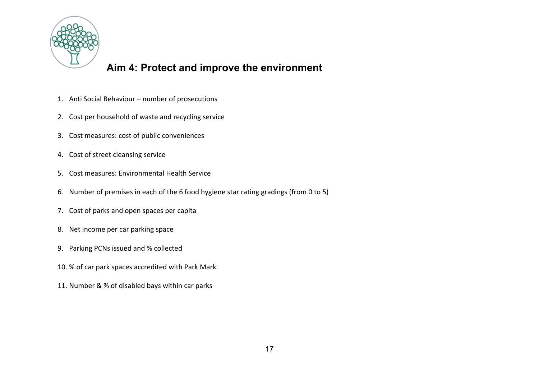

## **Aim 4: Protect and improve the environment**

- 1. Anti Social Behaviour number of prosecutions
- 2. Cost per household of waste and recycling service
- 3. Cost measures: cost of public conveniences
- 4. Cost of street cleansing service
- 5. Cost measures: Environmental Health Service
- 6. Number of premises in each of the 6 food hygiene star rating gradings (from 0 to 5)
- 7. Cost of parks and open spaces per capita
- 8. Net income per car parking space
- 9. Parking PCNs issued and % collected
- 10. % of car park spaces accredited with Park Mark
- 11. Number & % of disabled bays within car parks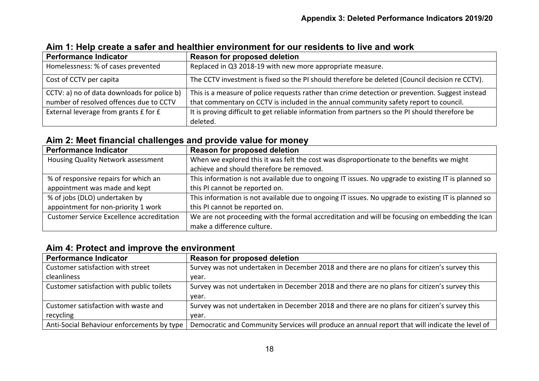| <b>Performance Indicator</b>                | Reason for proposed deletion                                                                    |
|---------------------------------------------|-------------------------------------------------------------------------------------------------|
| Homelessness: % of cases prevented          | Replaced in Q3 2018-19 with new more appropriate measure.                                       |
| Cost of CCTV per capita                     | The CCTV investment is fixed so the PI should therefore be deleted (Council decision re CCTV).  |
| CCTV: a) no of data downloads for police b) | This is a measure of police requests rather than crime detection or prevention. Suggest instead |
| number of resolved offences due to CCTV     | that commentary on CCTV is included in the annual community safety report to council.           |
| External leverage from grants £ for £       | It is proving difficult to get reliable information from partners so the PI should therefore be |
|                                             | deleted.                                                                                        |

#### **Aim 1: Help create a safer and healthier environment for our residents to live and work**

#### **Aim 2: Meet financial challenges and provide value for money**

| <b>Performance Indicator</b>              | Reason for proposed deletion                                                                        |
|-------------------------------------------|-----------------------------------------------------------------------------------------------------|
| Housing Quality Network assessment        | When we explored this it was felt the cost was disproportionate to the benefits we might            |
|                                           | achieve and should therefore be removed.                                                            |
| % of responsive repairs for which an      | This information is not available due to ongoing IT issues. No upgrade to existing IT is planned so |
| appointment was made and kept             | this PI cannot be reported on.                                                                      |
| % of jobs (DLO) undertaken by             | This information is not available due to ongoing IT issues. No upgrade to existing IT is planned so |
| appointment for non-priority 1 work       | this PI cannot be reported on.                                                                      |
| Customer Service Excellence accreditation | We are not proceeding with the formal accreditation and will be focusing on embedding the Ican      |
|                                           | make a difference culture.                                                                          |

### **Aim 4: Protect and improve the environment**

| <b>Performance Indicator</b>               | <b>Reason for proposed deletion</b>                                                             |
|--------------------------------------------|-------------------------------------------------------------------------------------------------|
| Customer satisfaction with street          | Survey was not undertaken in December 2018 and there are no plans for citizen's survey this     |
| cleanliness                                | vear.                                                                                           |
| Customer satisfaction with public toilets  | Survey was not undertaken in December 2018 and there are no plans for citizen's survey this     |
|                                            | vear.                                                                                           |
| Customer satisfaction with waste and       | Survey was not undertaken in December 2018 and there are no plans for citizen's survey this     |
| recycling                                  | vear.                                                                                           |
| Anti-Social Behaviour enforcements by type | Democratic and Community Services will produce an annual report that will indicate the level of |